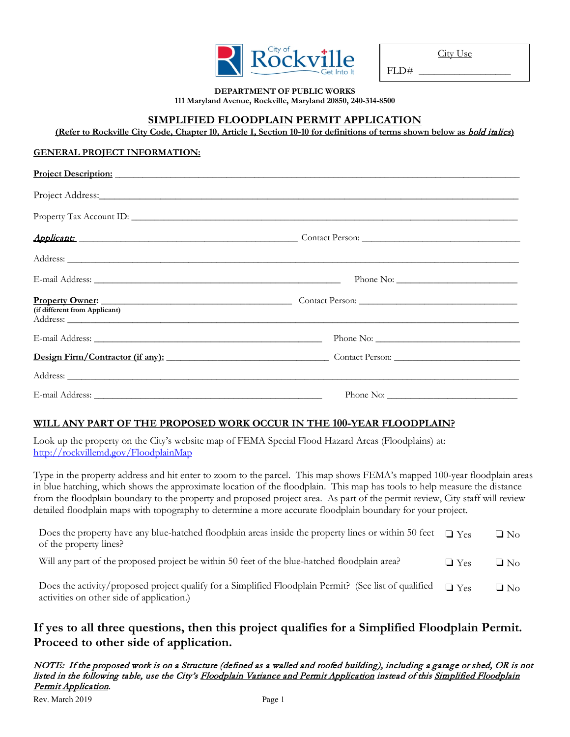| City of $-$<br><b>KOCKVILLE</b> |  |
|---------------------------------|--|
| Get Into It                     |  |

City Use

 $FLD#$ 

#### **DEPARTMENT OF PUBLIC WORKS 111 Maryland Avenue, Rockville, Maryland 20850, 240-314-8500**

### **SIMPLIFIED FLOODPLAIN PERMIT APPLICATION**

**(Refer to Rockville City Code, Chapter 10, Article I, Section 10-10 for definitions of terms shown below as** bold italics**)**

#### **GENERAL PROJECT INFORMATION:**

|                               | Project Description: New York Contract to the Contract of the Contract of the Contract of the Contract of the Contract of the Contract of the Contract of the Contract of the Contract of the Contract of the Contract of the  |  |
|-------------------------------|--------------------------------------------------------------------------------------------------------------------------------------------------------------------------------------------------------------------------------|--|
|                               | Project Address: Note and the set of the set of the set of the set of the set of the set of the set of the set of the set of the set of the set of the set of the set of the set of the set of the set of the set of the set o |  |
|                               |                                                                                                                                                                                                                                |  |
|                               | Applicant: Contact Person: Contact Person:                                                                                                                                                                                     |  |
|                               |                                                                                                                                                                                                                                |  |
|                               |                                                                                                                                                                                                                                |  |
| (if different from Applicant) |                                                                                                                                                                                                                                |  |
|                               |                                                                                                                                                                                                                                |  |
|                               | Design Firm/Contractor (if any): Contact Person: Contact Person:                                                                                                                                                               |  |
|                               |                                                                                                                                                                                                                                |  |
|                               |                                                                                                                                                                                                                                |  |

### **WILL ANY PART OF THE PROPOSED WORK OCCUR IN THE 100-YEAR FLOODPLAIN?**

Look up the property on the City's website map of FEMA Special Flood Hazard Areas (Floodplains) at: [http://rockvillemd.gov/FloodplainMap](http://rockvillemd.maps.arcgis.com/apps/webappviewer/index.html?id=9b14f88c02f5442d946569645efd8a26)

Type in the property address and hit enter to zoom to the parcel. This map shows FEMA's mapped 100-year floodplain areas in blue hatching, which shows the approximate location of the floodplain. This map has tools to help measure the distance from the floodplain boundary to the property and proposed project area. As part of the permit review, City staff will review detailed floodplain maps with topography to determine a more accurate floodplain boundary for your project.

| Does the property have any blue-hatched floodplain areas inside the property lines or within 50 feet $\Box$ Yes<br>of the property lines?          |            | $\Box$ No |
|----------------------------------------------------------------------------------------------------------------------------------------------------|------------|-----------|
| Will any part of the proposed project be within 50 feet of the blue-hatched floodplain area?                                                       | $\Box$ Yes | $\Box$ No |
| Does the activity/proposed project qualify for a Simplified Floodplain Permit? (See list of qualified<br>activities on other side of application.) | $\Box$ Yes | $\Box$ No |

# **If yes to all three questions, then this project qualifies for a Simplified Floodplain Permit. Proceed to other side of application.**

NOTE: If the proposed work is on a Structure (defined as a walled and roofed building), including a garage or shed, OR is not listed in the following table, use the City's Floodplain Variance and Permit Application instead of this Simplified Floodplain Permit Application.